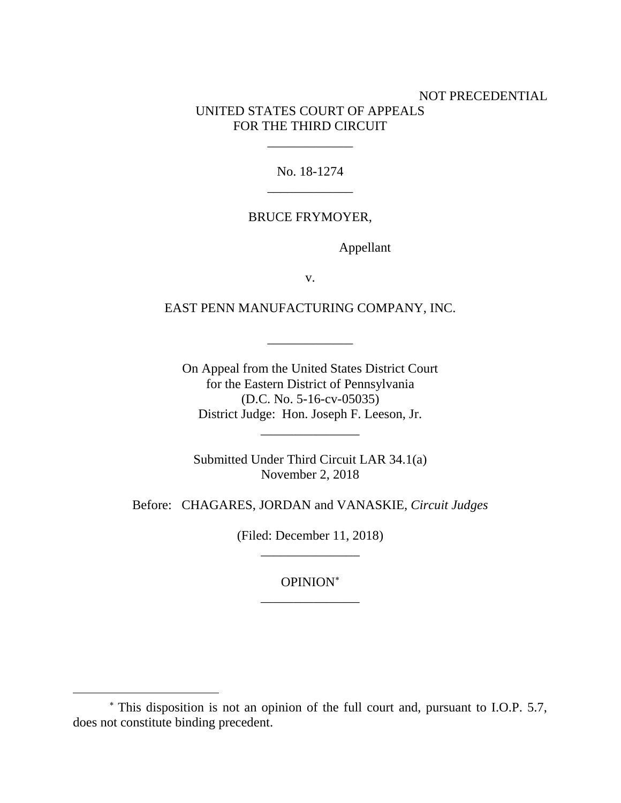## NOT PRECEDENTIAL UNITED STATES COURT OF APPEALS FOR THE THIRD CIRCUIT

No. 18-1274 \_\_\_\_\_\_\_\_\_\_\_\_\_

\_\_\_\_\_\_\_\_\_\_\_\_\_

### BRUCE FRYMOYER,

Appellant

v.

EAST PENN MANUFACTURING COMPANY, INC.

\_\_\_\_\_\_\_\_\_\_\_\_\_

On Appeal from the United States District Court for the Eastern District of Pennsylvania (D.C. No. 5-16-cv-05035) District Judge: Hon. Joseph F. Leeson, Jr.

\_\_\_\_\_\_\_\_\_\_\_\_\_\_\_

Submitted Under Third Circuit LAR 34.1(a) November 2, 2018

Before: CHAGARES, JORDAN and VANASKIE, *Circuit Judges*

(Filed: December 11, 2018) \_\_\_\_\_\_\_\_\_\_\_\_\_\_\_

## OPINION \_\_\_\_\_\_\_\_\_\_\_\_\_\_\_

This disposition is not an opinion of the full court and, pursuant to I.O.P. 5.7, does not constitute binding precedent.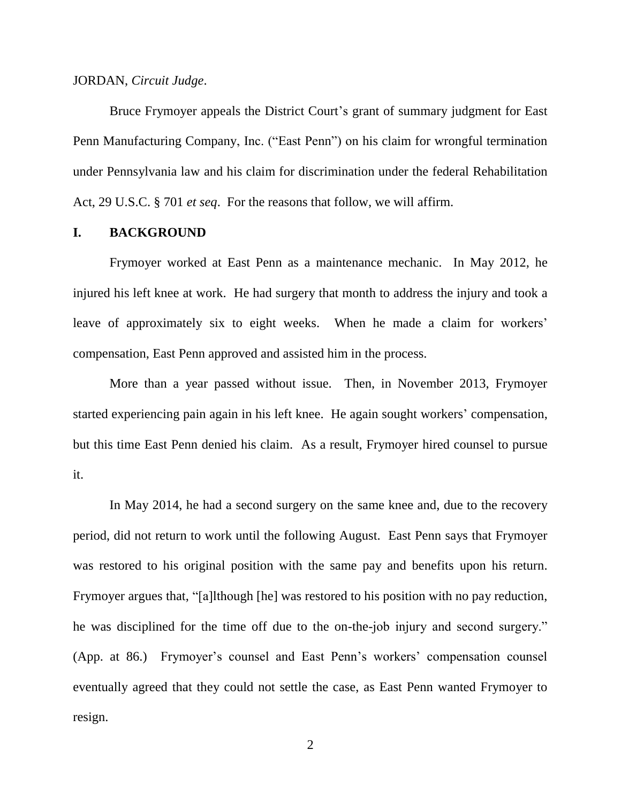#### JORDAN, *Circuit Judge*.

Bruce Frymoyer appeals the District Court's grant of summary judgment for East Penn Manufacturing Company, Inc. ("East Penn") on his claim for wrongful termination under Pennsylvania law and his claim for discrimination under the federal Rehabilitation Act, 29 U.S.C. § 701 *et seq*. For the reasons that follow, we will affirm.

#### **I. BACKGROUND**

Frymoyer worked at East Penn as a maintenance mechanic. In May 2012, he injured his left knee at work. He had surgery that month to address the injury and took a leave of approximately six to eight weeks.When he made a claim for workers' compensation, East Penn approved and assisted him in the process.

More than a year passed without issue. Then, in November 2013, Frymoyer started experiencing pain again in his left knee. He again sought workers' compensation, but this time East Penn denied his claim. As a result, Frymoyer hired counsel to pursue it.

In May 2014, he had a second surgery on the same knee and, due to the recovery period, did not return to work until the following August. East Penn says that Frymoyer was restored to his original position with the same pay and benefits upon his return. Frymoyer argues that, "[a]lthough [he] was restored to his position with no pay reduction, he was disciplined for the time off due to the on-the-job injury and second surgery." (App. at 86.) Frymoyer's counsel and East Penn's workers' compensation counsel eventually agreed that they could not settle the case, as East Penn wanted Frymoyer to resign.

2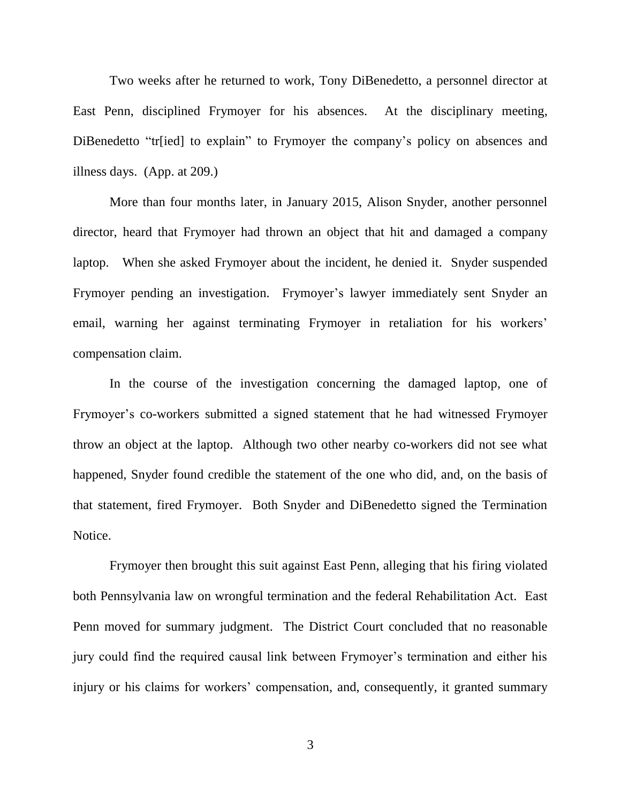Two weeks after he returned to work, Tony DiBenedetto, a personnel director at East Penn, disciplined Frymoyer for his absences. At the disciplinary meeting, DiBenedetto "traingletical" to explain" to Frymover the company's policy on absences and illness days. (App. at 209.)

More than four months later, in January 2015, Alison Snyder, another personnel director, heard that Frymoyer had thrown an object that hit and damaged a company laptop. When she asked Frymoyer about the incident, he denied it. Snyder suspended Frymoyer pending an investigation. Frymoyer's lawyer immediately sent Snyder an email, warning her against terminating Frymoyer in retaliation for his workers' compensation claim.

In the course of the investigation concerning the damaged laptop, one of Frymoyer's co-workers submitted a signed statement that he had witnessed Frymoyer throw an object at the laptop. Although two other nearby co-workers did not see what happened, Snyder found credible the statement of the one who did, and, on the basis of that statement, fired Frymoyer. Both Snyder and DiBenedetto signed the Termination Notice.

Frymoyer then brought this suit against East Penn, alleging that his firing violated both Pennsylvania law on wrongful termination and the federal Rehabilitation Act. East Penn moved for summary judgment. The District Court concluded that no reasonable jury could find the required causal link between Frymoyer's termination and either his injury or his claims for workers' compensation, and, consequently, it granted summary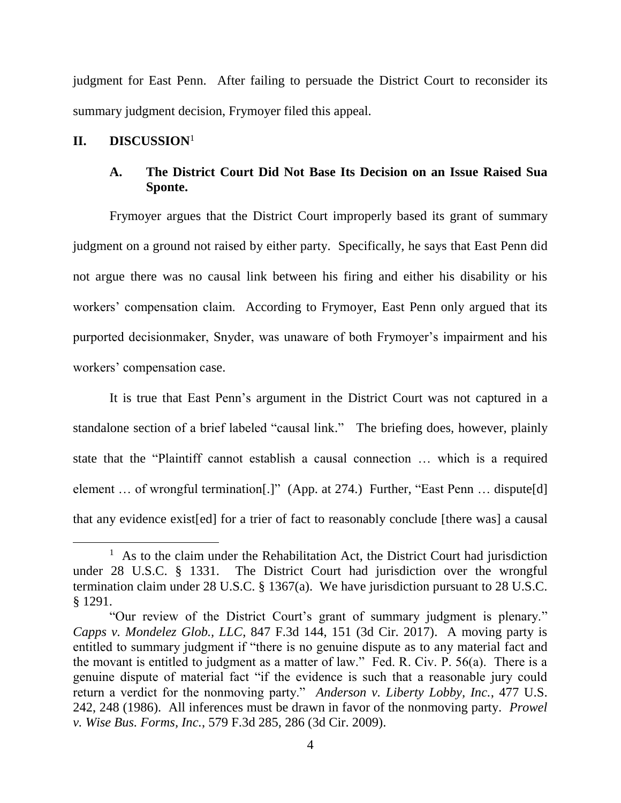judgment for East Penn. After failing to persuade the District Court to reconsider its summary judgment decision, Frymoyer filed this appeal.

## **II. DISCUSSION**<sup>1</sup>

 $\overline{a}$ 

## **A. The District Court Did Not Base Its Decision on an Issue Raised Sua Sponte.**

Frymoyer argues that the District Court improperly based its grant of summary judgment on a ground not raised by either party. Specifically, he says that East Penn did not argue there was no causal link between his firing and either his disability or his workers' compensation claim. According to Frymoyer, East Penn only argued that its purported decisionmaker, Snyder, was unaware of both Frymoyer's impairment and his workers' compensation case.

It is true that East Penn's argument in the District Court was not captured in a standalone section of a brief labeled "causal link." The briefing does, however, plainly state that the "Plaintiff cannot establish a causal connection … which is a required element ... of wrongful termination[.]" (App. at 274.) Further, "East Penn ... dispute[d] that any evidence exist[ed] for a trier of fact to reasonably conclude [there was] a causal

<sup>&</sup>lt;sup>1</sup> As to the claim under the Rehabilitation Act, the District Court had jurisdiction under 28 U.S.C. § 1331. The District Court had jurisdiction over the wrongful termination claim under 28 U.S.C. § 1367(a). We have jurisdiction pursuant to 28 U.S.C. § 1291.

<sup>&</sup>quot;Our review of the District Court's grant of summary judgment is plenary." *Capps v. Mondelez Glob., LLC*, 847 F.3d 144, 151 (3d Cir. 2017). A moving party is entitled to summary judgment if "there is no genuine dispute as to any material fact and the movant is entitled to judgment as a matter of law." Fed. R. Civ. P. 56(a). There is a genuine dispute of material fact "if the evidence is such that a reasonable jury could return a verdict for the nonmoving party." *Anderson v. Liberty Lobby, Inc.*, 477 U.S. 242, 248 (1986). All inferences must be drawn in favor of the nonmoving party. *Prowel v. Wise Bus. Forms, Inc.*, 579 F.3d 285, 286 (3d Cir. 2009).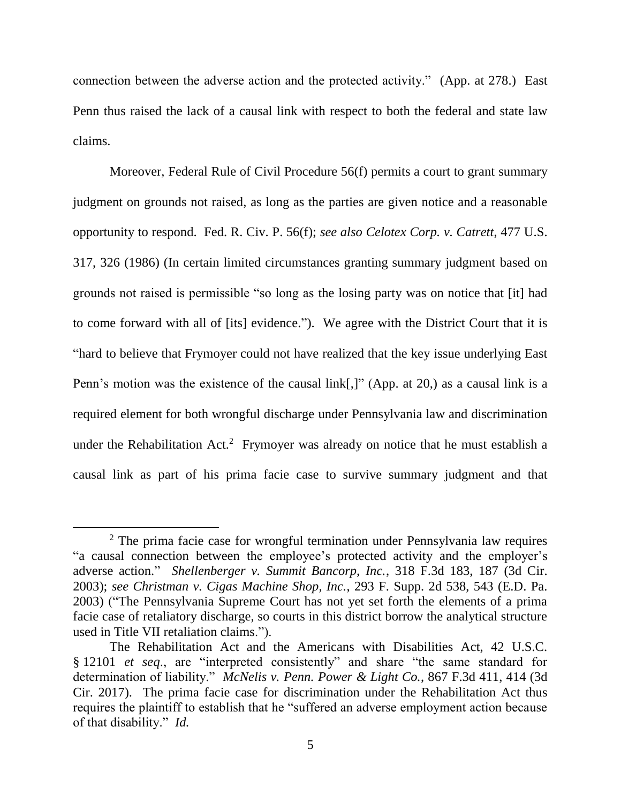connection between the adverse action and the protected activity." (App. at 278.) East Penn thus raised the lack of a causal link with respect to both the federal and state law claims.

Moreover, Federal Rule of Civil Procedure 56(f) permits a court to grant summary judgment on grounds not raised, as long as the parties are given notice and a reasonable opportunity to respond. Fed. R. Civ. P. 56(f); *see also Celotex Corp. v. Catrett*, 477 U.S. 317, 326 (1986) (In certain limited circumstances granting summary judgment based on grounds not raised is permissible "so long as the losing party was on notice that [it] had to come forward with all of [its] evidence."). We agree with the District Court that it is "hard to believe that Frymoyer could not have realized that the key issue underlying East Penn's motion was the existence of the causal link[,]" (App. at 20,) as a causal link is a required element for both wrongful discharge under Pennsylvania law and discrimination under the Rehabilitation Act.<sup>2</sup> Frymoyer was already on notice that he must establish a causal link as part of his prima facie case to survive summary judgment and that

<sup>&</sup>lt;sup>2</sup> The prima facie case for wrongful termination under Pennsylvania law requires "a causal connection between the employee's protected activity and the employer's adverse action." *Shellenberger v. Summit Bancorp, Inc.*, 318 F.3d 183, 187 (3d Cir. 2003); *see Christman v. Cigas Machine Shop, Inc.*, 293 F. Supp. 2d 538, 543 (E.D. Pa. 2003) ("The Pennsylvania Supreme Court has not yet set forth the elements of a prima facie case of retaliatory discharge, so courts in this district borrow the analytical structure used in Title VII retaliation claims.").

The Rehabilitation Act and the Americans with Disabilities Act, 42 U.S.C. § 12101 *et seq*., are "interpreted consistently" and share "the same standard for determination of liability." *McNelis v. Penn. Power & Light Co.*, 867 F.3d 411, 414 (3d Cir. 2017). The prima facie case for discrimination under the Rehabilitation Act thus requires the plaintiff to establish that he "suffered an adverse employment action because of that disability." *Id.*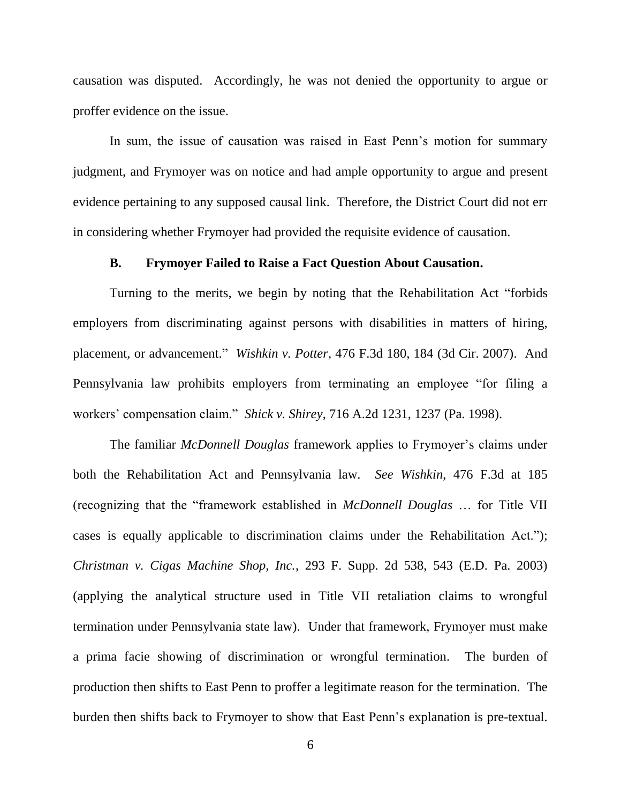causation was disputed. Accordingly, he was not denied the opportunity to argue or proffer evidence on the issue.

In sum, the issue of causation was raised in East Penn's motion for summary judgment, and Frymoyer was on notice and had ample opportunity to argue and present evidence pertaining to any supposed causal link. Therefore, the District Court did not err in considering whether Frymoyer had provided the requisite evidence of causation.

### **B. Frymoyer Failed to Raise a Fact Question About Causation.**

Turning to the merits, we begin by noting that the Rehabilitation Act "forbids employers from discriminating against persons with disabilities in matters of hiring, placement, or advancement." *Wishkin v. Potter*, 476 F.3d 180, 184 (3d Cir. 2007). And Pennsylvania law prohibits employers from terminating an employee "for filing a workers' compensation claim." *Shick v. Shirey*, 716 A.2d 1231, 1237 (Pa. 1998).

The familiar *McDonnell Douglas* framework applies to Frymoyer's claims under both the Rehabilitation Act and Pennsylvania law. *See Wishkin*, 476 F.3d at 185 (recognizing that the "framework established in *McDonnell Douglas* … for Title VII cases is equally applicable to discrimination claims under the Rehabilitation Act."); *Christman v. Cigas Machine Shop, Inc.*, 293 F. Supp. 2d 538, 543 (E.D. Pa. 2003) (applying the analytical structure used in Title VII retaliation claims to wrongful termination under Pennsylvania state law). Under that framework, Frymoyer must make a prima facie showing of discrimination or wrongful termination. The burden of production then shifts to East Penn to proffer a legitimate reason for the termination. The burden then shifts back to Frymoyer to show that East Penn's explanation is pre-textual.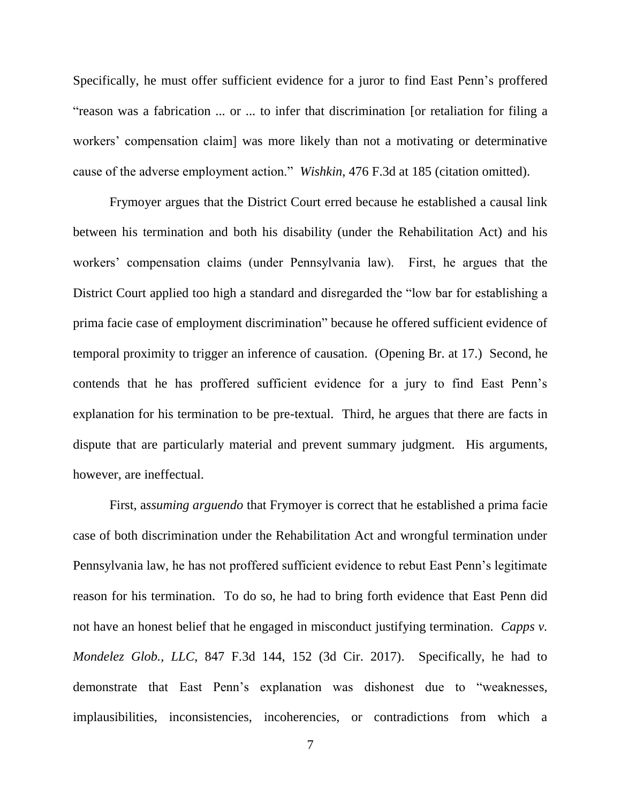Specifically, he must offer sufficient evidence for a juror to find East Penn's proffered "reason was a fabrication ... or ... to infer that discrimination [or retaliation for filing a workers' compensation claim] was more likely than not a motivating or determinative cause of the adverse employment action." *Wishkin*, 476 F.3d at 185 (citation omitted).

Frymoyer argues that the District Court erred because he established a causal link between his termination and both his disability (under the Rehabilitation Act) and his workers' compensation claims (under Pennsylvania law). First, he argues that the District Court applied too high a standard and disregarded the "low bar for establishing a prima facie case of employment discrimination" because he offered sufficient evidence of temporal proximity to trigger an inference of causation. (Opening Br. at 17.) Second, he contends that he has proffered sufficient evidence for a jury to find East Penn's explanation for his termination to be pre-textual. Third, he argues that there are facts in dispute that are particularly material and prevent summary judgment. His arguments, however, are ineffectual.

First, a*ssuming arguendo* that Frymoyer is correct that he established a prima facie case of both discrimination under the Rehabilitation Act and wrongful termination under Pennsylvania law, he has not proffered sufficient evidence to rebut East Penn's legitimate reason for his termination. To do so, he had to bring forth evidence that East Penn did not have an honest belief that he engaged in misconduct justifying termination. *Capps v. Mondelez Glob., LLC*, 847 F.3d 144, 152 (3d Cir. 2017). Specifically, he had to demonstrate that East Penn's explanation was dishonest due to "weaknesses, implausibilities, inconsistencies, incoherencies, or contradictions from which a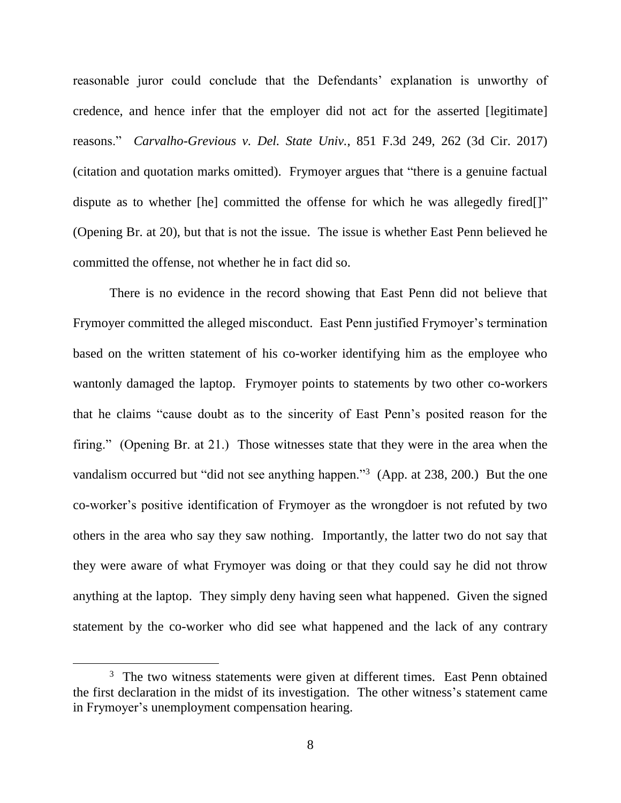reasonable juror could conclude that the Defendants' explanation is unworthy of credence, and hence infer that the employer did not act for the asserted [legitimate] reasons." *Carvalho-Grevious v. Del. State Univ.*, 851 F.3d 249, 262 (3d Cir. 2017) (citation and quotation marks omitted). Frymoyer argues that "there is a genuine factual dispute as to whether [he] committed the offense for which he was allegedly fired[]" (Opening Br. at 20), but that is not the issue. The issue is whether East Penn believed he committed the offense, not whether he in fact did so.

There is no evidence in the record showing that East Penn did not believe that Frymoyer committed the alleged misconduct. East Penn justified Frymoyer's termination based on the written statement of his co-worker identifying him as the employee who wantonly damaged the laptop. Frymoyer points to statements by two other co-workers that he claims "cause doubt as to the sincerity of East Penn's posited reason for the firing." (Opening Br. at 21.) Those witnesses state that they were in the area when the vandalism occurred but "did not see anything happen."<sup>3</sup> (App. at 238, 200.)But the one co-worker's positive identification of Frymoyer as the wrongdoer is not refuted by two others in the area who say they saw nothing.Importantly, the latter two do not say that they were aware of what Frymoyer was doing or that they could say he did not throw anything at the laptop. They simply deny having seen what happened. Given the signed statement by the co-worker who did see what happened and the lack of any contrary

<sup>&</sup>lt;sup>3</sup> The two witness statements were given at different times. East Penn obtained the first declaration in the midst of its investigation. The other witness's statement came in Frymoyer's unemployment compensation hearing.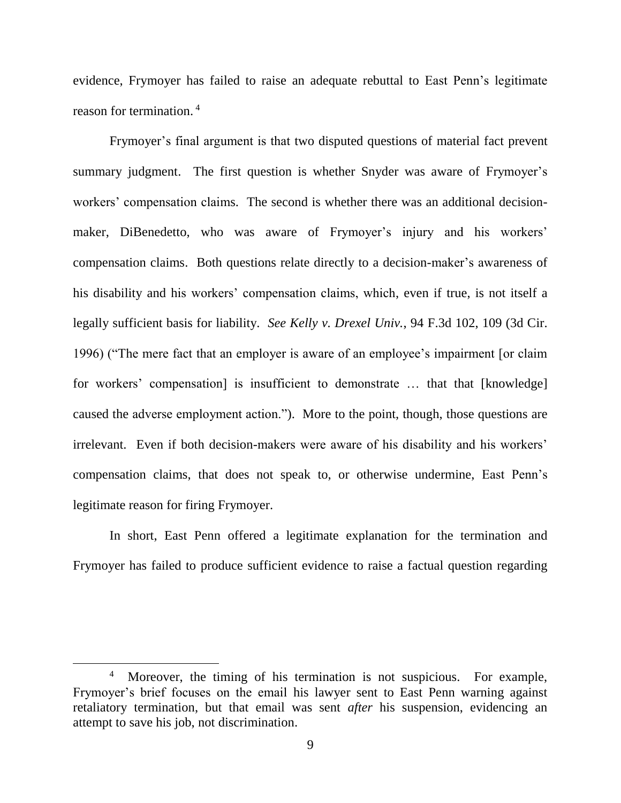evidence, Frymoyer has failed to raise an adequate rebuttal to East Penn's legitimate reason for termination. 4

Frymoyer's final argument is that two disputed questions of material fact prevent summary judgment. The first question is whether Snyder was aware of Frymoyer's workers' compensation claims. The second is whether there was an additional decisionmaker, DiBenedetto, who was aware of Frymoyer's injury and his workers' compensation claims. Both questions relate directly to a decision-maker's awareness of his disability and his workers' compensation claims, which, even if true, is not itself a legally sufficient basis for liability. *See Kelly v. Drexel Univ.*, 94 F.3d 102, 109 (3d Cir. 1996) ("The mere fact that an employer is aware of an employee's impairment [or claim for workers' compensation] is insufficient to demonstrate … that that [knowledge] caused the adverse employment action."). More to the point, though, those questions are irrelevant. Even if both decision-makers were aware of his disability and his workers' compensation claims, that does not speak to, or otherwise undermine, East Penn's legitimate reason for firing Frymoyer.

In short, East Penn offered a legitimate explanation for the termination and Frymoyer has failed to produce sufficient evidence to raise a factual question regarding

<sup>&</sup>lt;sup>4</sup> Moreover, the timing of his termination is not suspicious. For example, Frymoyer's brief focuses on the email his lawyer sent to East Penn warning against retaliatory termination, but that email was sent *after* his suspension, evidencing an attempt to save his job, not discrimination.